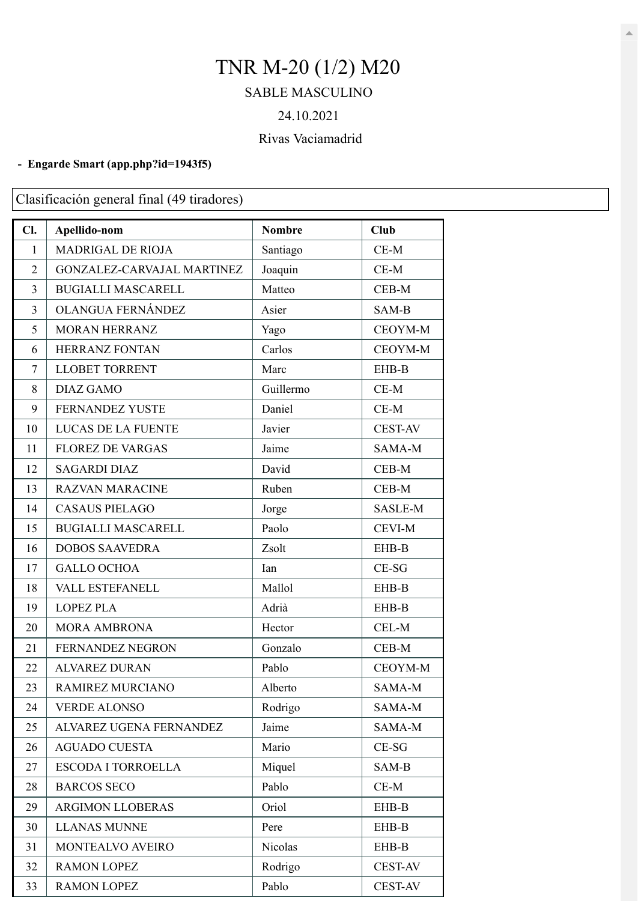# TNR M-20 (1/2) M20

### SABLE MASCULINO

#### 24.10.2021

## Rivas Vaciamadrid

#### **- Engarde Smart [\(app.php?id=1943f5\)](https://engarde-service.com/app.php?id=1943f5)**

Clasificación general final (49 tiradores)

| Cl.            | Apellido-nom               | <b>Nombre</b> | Club           |
|----------------|----------------------------|---------------|----------------|
| $\mathbf{1}$   | MADRIGAL DE RIOJA          | Santiago      | $CE-M$         |
| $\overline{2}$ | GONZALEZ-CARVAJAL MARTINEZ | Joaquin       | $CE-M$         |
| $\overline{3}$ | <b>BUGIALLI MASCARELL</b>  | Matteo        | CEB-M          |
| $\overline{3}$ | OLANGUA FERNÁNDEZ          | Asier         | SAM-B          |
| 5              | <b>MORAN HERRANZ</b>       | Yago          | CEOYM-M        |
| 6              | HERRANZ FONTAN             | Carlos        | CEOYM-M        |
| $\tau$         | <b>LLOBET TORRENT</b>      | Marc          | EHB-B          |
| 8              | <b>DIAZ GAMO</b>           | Guillermo     | $CE-M$         |
| 9              | <b>FERNANDEZ YUSTE</b>     | Daniel        | $CE-M$         |
| 10             | LUCAS DE LA FUENTE         | Javier        | <b>CEST-AV</b> |
| 11             | <b>FLOREZ DE VARGAS</b>    | Jaime         | SAMA-M         |
| 12             | <b>SAGARDI DIAZ</b>        | David         | CEB-M          |
| 13             | <b>RAZVAN MARACINE</b>     | Ruben         | $CEB-M$        |
| 14             | <b>CASAUS PIELAGO</b>      | Jorge         | SASLE-M        |
| 15             | <b>BUGIALLI MASCARELL</b>  | Paolo         | <b>CEVI-M</b>  |
| 16             | <b>DOBOS SAAVEDRA</b>      | Zsolt         | EHB-B          |
| 17             | <b>GALLO OCHOA</b>         | Ian           | $CE-SG$        |
| 18             | VALL ESTEFANELL            | Mallol        | EHB-B          |
| 19             | <b>LOPEZ PLA</b>           | Adrià         | EHB-B          |
| 20             | <b>MORA AMBRONA</b>        | Hector        | CEL-M          |
| 21             | FERNANDEZ NEGRON           | Gonzalo       | CEB-M          |
| 22             | <b>ALVAREZ DURAN</b>       | Pablo         | CEOYM-M        |
| 23             | RAMIREZ MURCIANO           | Alberto       | SAMA-M         |
| 24             | <b>VERDE ALONSO</b>        | Rodrigo       | SAMA-M         |
| 25             | ALVAREZ UGENA FERNANDEZ    | Jaime         | SAMA-M         |
| 26             | <b>AGUADO CUESTA</b>       | Mario         | $CE-SG$        |
| 27             | <b>ESCODA I TORROELLA</b>  | Miquel        | SAM-B          |
| 28             | <b>BARCOS SECO</b>         | Pablo         | $CE-M$         |
| 29             | <b>ARGIMON LLOBERAS</b>    | Oriol         | EHB-B          |
| 30             | <b>LLANAS MUNNE</b>        | Pere          | EHB-B          |
| 31             | MONTEALVO AVEIRO           | Nicolas       | EHB-B          |
| 32             | <b>RAMON LOPEZ</b>         | Rodrigo       | <b>CEST-AV</b> |
| 33             | <b>RAMON LOPEZ</b>         | Pablo         | <b>CEST-AV</b> |